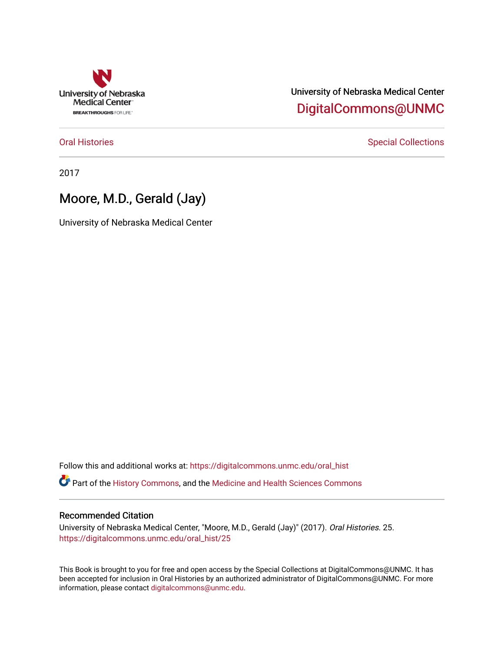

# University of Nebraska Medical Center [DigitalCommons@UNMC](https://digitalcommons.unmc.edu/)

[Oral Histories](https://digitalcommons.unmc.edu/oral_hist) **Special Collections** Special Collections

2017

# Moore, M.D., Gerald (Jay)

University of Nebraska Medical Center

Follow this and additional works at: [https://digitalcommons.unmc.edu/oral\\_hist](https://digitalcommons.unmc.edu/oral_hist?utm_source=digitalcommons.unmc.edu%2Foral_hist%2F25&utm_medium=PDF&utm_campaign=PDFCoverPages) 

Part of the [History Commons,](http://network.bepress.com/hgg/discipline/489?utm_source=digitalcommons.unmc.edu%2Foral_hist%2F25&utm_medium=PDF&utm_campaign=PDFCoverPages) and the [Medicine and Health Sciences Commons](http://network.bepress.com/hgg/discipline/648?utm_source=digitalcommons.unmc.edu%2Foral_hist%2F25&utm_medium=PDF&utm_campaign=PDFCoverPages) 

### Recommended Citation

University of Nebraska Medical Center, "Moore, M.D., Gerald (Jay)" (2017). Oral Histories. 25. [https://digitalcommons.unmc.edu/oral\\_hist/25](https://digitalcommons.unmc.edu/oral_hist/25?utm_source=digitalcommons.unmc.edu%2Foral_hist%2F25&utm_medium=PDF&utm_campaign=PDFCoverPages)

This Book is brought to you for free and open access by the Special Collections at DigitalCommons@UNMC. It has been accepted for inclusion in Oral Histories by an authorized administrator of DigitalCommons@UNMC. For more information, please contact [digitalcommons@unmc.edu](mailto:digitalcommons@unmc.edu).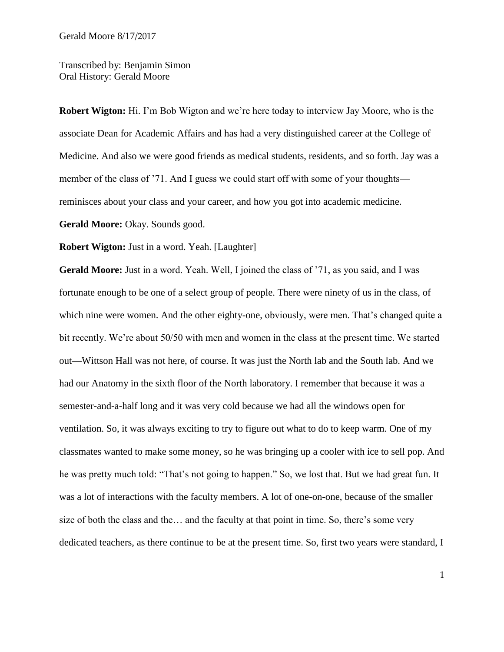Transcribed by: Benjamin Simon Oral History: Gerald Moore

**Robert Wigton:** Hi. I'm Bob Wigton and we're here today to interview Jay Moore, who is the associate Dean for Academic Affairs and has had a very distinguished career at the College of Medicine. And also we were good friends as medical students, residents, and so forth. Jay was a member of the class of '71. And I guess we could start off with some of your thoughts reminisces about your class and your career, and how you got into academic medicine.

**Gerald Moore:** Okay. Sounds good.

**Robert Wigton:** Just in a word. Yeah. [Laughter]

Gerald Moore: Just in a word. Yeah. Well, I joined the class of '71, as you said, and I was fortunate enough to be one of a select group of people. There were ninety of us in the class, of which nine were women. And the other eighty-one, obviously, were men. That's changed quite a bit recently. We're about 50/50 with men and women in the class at the present time. We started out—Wittson Hall was not here, of course. It was just the North lab and the South lab. And we had our Anatomy in the sixth floor of the North laboratory. I remember that because it was a semester-and-a-half long and it was very cold because we had all the windows open for ventilation. So, it was always exciting to try to figure out what to do to keep warm. One of my classmates wanted to make some money, so he was bringing up a cooler with ice to sell pop. And he was pretty much told: "That's not going to happen." So, we lost that. But we had great fun. It was a lot of interactions with the faculty members. A lot of one-on-one, because of the smaller size of both the class and the… and the faculty at that point in time. So, there's some very dedicated teachers, as there continue to be at the present time. So, first two years were standard, I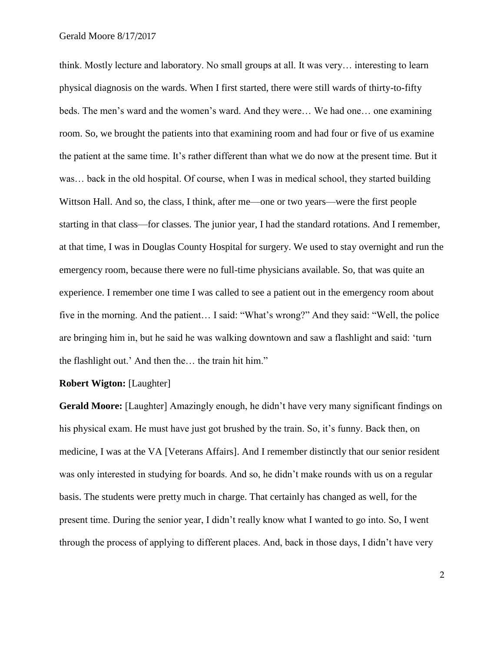think. Mostly lecture and laboratory. No small groups at all. It was very… interesting to learn physical diagnosis on the wards. When I first started, there were still wards of thirty-to-fifty beds. The men's ward and the women's ward. And they were… We had one… one examining room. So, we brought the patients into that examining room and had four or five of us examine the patient at the same time. It's rather different than what we do now at the present time. But it was… back in the old hospital. Of course, when I was in medical school, they started building Wittson Hall. And so, the class, I think, after me—one or two years—were the first people starting in that class—for classes. The junior year, I had the standard rotations. And I remember, at that time, I was in Douglas County Hospital for surgery. We used to stay overnight and run the emergency room, because there were no full-time physicians available. So, that was quite an experience. I remember one time I was called to see a patient out in the emergency room about five in the morning. And the patient… I said: "What's wrong?" And they said: "Well, the police are bringing him in, but he said he was walking downtown and saw a flashlight and said: 'turn the flashlight out.' And then the… the train hit him."

#### **Robert Wigton:** [Laughter]

**Gerald Moore:** [Laughter] Amazingly enough, he didn't have very many significant findings on his physical exam. He must have just got brushed by the train. So, it's funny. Back then, on medicine, I was at the VA [Veterans Affairs]. And I remember distinctly that our senior resident was only interested in studying for boards. And so, he didn't make rounds with us on a regular basis. The students were pretty much in charge. That certainly has changed as well, for the present time. During the senior year, I didn't really know what I wanted to go into. So, I went through the process of applying to different places. And, back in those days, I didn't have very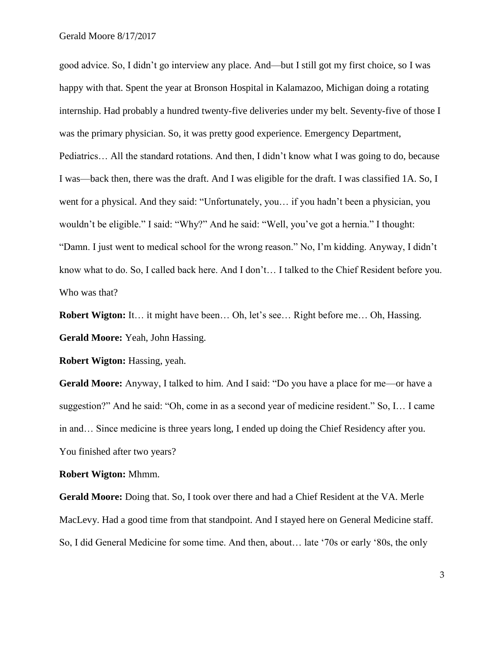good advice. So, I didn't go interview any place. And—but I still got my first choice, so I was happy with that. Spent the year at Bronson Hospital in Kalamazoo, Michigan doing a rotating internship. Had probably a hundred twenty-five deliveries under my belt. Seventy-five of those I was the primary physician. So, it was pretty good experience. Emergency Department, Pediatrics… All the standard rotations. And then, I didn't know what I was going to do, because I was—back then, there was the draft. And I was eligible for the draft. I was classified 1A. So, I went for a physical. And they said: "Unfortunately, you… if you hadn't been a physician, you wouldn't be eligible." I said: "Why?" And he said: "Well, you've got a hernia." I thought: "Damn. I just went to medical school for the wrong reason." No, I'm kidding. Anyway, I didn't know what to do. So, I called back here. And I don't… I talked to the Chief Resident before you. Who was that?

**Robert Wigton:** It… it might have been… Oh, let's see… Right before me… Oh, Hassing. **Gerald Moore:** Yeah, John Hassing.

**Robert Wigton: Hassing, yeah.** 

**Gerald Moore:** Anyway, I talked to him. And I said: "Do you have a place for me—or have a suggestion?" And he said: "Oh, come in as a second year of medicine resident." So, I… I came in and… Since medicine is three years long, I ended up doing the Chief Residency after you. You finished after two years?

**Robert Wigton:** Mhmm.

**Gerald Moore:** Doing that. So, I took over there and had a Chief Resident at the VA. Merle MacLevy. Had a good time from that standpoint. And I stayed here on General Medicine staff. So, I did General Medicine for some time. And then, about… late '70s or early '80s, the only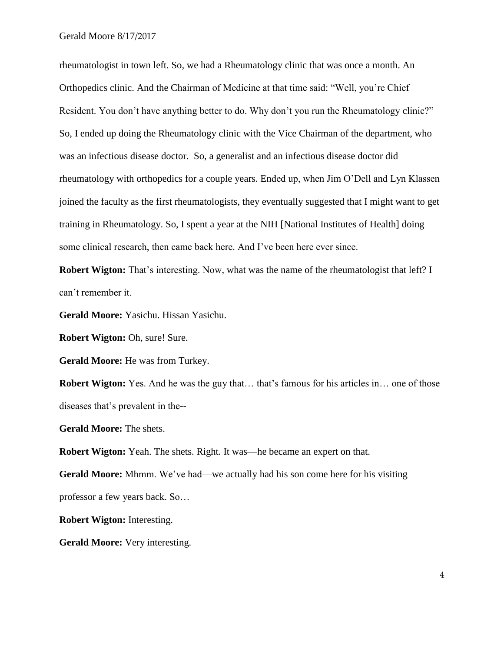rheumatologist in town left. So, we had a Rheumatology clinic that was once a month. An Orthopedics clinic. And the Chairman of Medicine at that time said: "Well, you're Chief Resident. You don't have anything better to do. Why don't you run the Rheumatology clinic?" So, I ended up doing the Rheumatology clinic with the Vice Chairman of the department, who was an infectious disease doctor. So, a generalist and an infectious disease doctor did rheumatology with orthopedics for a couple years. Ended up, when Jim O'Dell and Lyn Klassen joined the faculty as the first rheumatologists, they eventually suggested that I might want to get training in Rheumatology. So, I spent a year at the NIH [National Institutes of Health] doing some clinical research, then came back here. And I've been here ever since.

**Robert Wigton:** That's interesting. Now, what was the name of the rheumatologist that left? I can't remember it.

**Gerald Moore:** Yasichu. Hissan Yasichu.

**Robert Wigton: Oh, sure! Sure.** 

**Gerald Moore:** He was from Turkey.

**Robert Wigton:** Yes. And he was the guy that... that's famous for his articles in... one of those diseases that's prevalent in the--

**Gerald Moore:** The shets.

**Robert Wigton:** Yeah. The shets. Right. It was—he became an expert on that.

Gerald Moore: Mhmm. We've had—we actually had his son come here for his visiting professor a few years back. So…

**Robert Wigton:** Interesting.

**Gerald Moore:** Very interesting.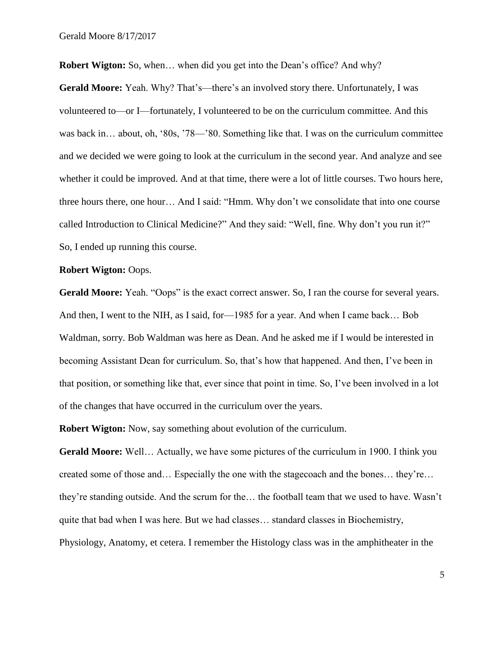**Robert Wigton:** So, when... when did you get into the Dean's office? And why?

Gerald Moore: Yeah. Why? That's—there's an involved story there. Unfortunately, I was volunteered to—or I—fortunately, I volunteered to be on the curriculum committee. And this was back in… about, oh, '80s, '78—'80. Something like that. I was on the curriculum committee and we decided we were going to look at the curriculum in the second year. And analyze and see whether it could be improved. And at that time, there were a lot of little courses. Two hours here, three hours there, one hour… And I said: "Hmm. Why don't we consolidate that into one course called Introduction to Clinical Medicine?" And they said: "Well, fine. Why don't you run it?" So, I ended up running this course.

#### **Robert Wigton:** Oops.

**Gerald Moore:** Yeah. "Oops" is the exact correct answer. So, I ran the course for several years. And then, I went to the NIH, as I said, for—1985 for a year. And when I came back… Bob Waldman, sorry. Bob Waldman was here as Dean. And he asked me if I would be interested in becoming Assistant Dean for curriculum. So, that's how that happened. And then, I've been in that position, or something like that, ever since that point in time. So, I've been involved in a lot of the changes that have occurred in the curriculum over the years.

**Robert Wigton:** Now, say something about evolution of the curriculum.

**Gerald Moore:** Well… Actually, we have some pictures of the curriculum in 1900. I think you created some of those and… Especially the one with the stagecoach and the bones… they're… they're standing outside. And the scrum for the… the football team that we used to have. Wasn't quite that bad when I was here. But we had classes… standard classes in Biochemistry, Physiology, Anatomy, et cetera. I remember the Histology class was in the amphitheater in the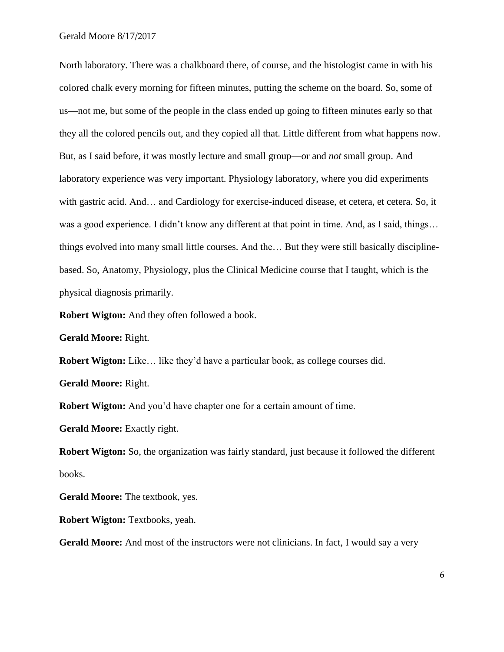North laboratory. There was a chalkboard there, of course, and the histologist came in with his colored chalk every morning for fifteen minutes, putting the scheme on the board. So, some of us—not me, but some of the people in the class ended up going to fifteen minutes early so that they all the colored pencils out, and they copied all that. Little different from what happens now. But, as I said before, it was mostly lecture and small group—or and *not* small group. And laboratory experience was very important. Physiology laboratory, where you did experiments with gastric acid. And… and Cardiology for exercise-induced disease, et cetera, et cetera. So, it was a good experience. I didn't know any different at that point in time. And, as I said, things... things evolved into many small little courses. And the… But they were still basically disciplinebased. So, Anatomy, Physiology, plus the Clinical Medicine course that I taught, which is the physical diagnosis primarily.

**Robert Wigton:** And they often followed a book.

**Gerald Moore:** Right.

**Robert Wigton:** Like... like they'd have a particular book, as college courses did.

**Gerald Moore:** Right.

**Robert Wigton:** And you'd have chapter one for a certain amount of time.

**Gerald Moore:** Exactly right.

**Robert Wigton:** So, the organization was fairly standard, just because it followed the different books.

**Gerald Moore:** The textbook, yes.

**Robert Wigton:** Textbooks, yeah.

Gerald Moore: And most of the instructors were not clinicians. In fact, I would say a very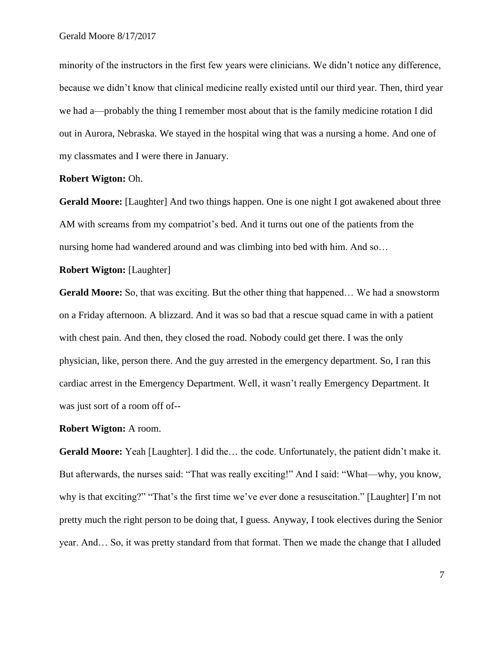minority of the instructors in the first few years were clinicians. We didn't notice any difference, because we didn't know that clinical medicine really existed until our third year. Then, third year we had a—probably the thing I remember most about that is the family medicine rotation I did out in Aurora, Nebraska. We stayed in the hospital wing that was a nursing a home. And one of my classmates and I were there in January.

#### **Robert Wigton:** Oh.

**Gerald Moore:** [Laughter] And two things happen. One is one night I got awakened about three AM with screams from my compatriot's bed. And it turns out one of the patients from the nursing home had wandered around and was climbing into bed with him. And so…

## **Robert Wigton:** [Laughter]

**Gerald Moore:** So, that was exciting. But the other thing that happened… We had a snowstorm on a Friday afternoon. A blizzard. And it was so bad that a rescue squad came in with a patient with chest pain. And then, they closed the road. Nobody could get there. I was the only physician, like, person there. And the guy arrested in the emergency department. So, I ran this cardiac arrest in the Emergency Department. Well, it wasn't really Emergency Department. It was just sort of a room off of--

#### **Robert Wigton:** A room.

**Gerald Moore:** Yeah [Laughter]. I did the… the code. Unfortunately, the patient didn't make it. But afterwards, the nurses said: "That was really exciting!" And I said: "What—why, you know, why is that exciting?" "That's the first time we've ever done a resuscitation." [Laughter] I'm not pretty much the right person to be doing that, I guess. Anyway, I took electives during the Senior year. And… So, it was pretty standard from that format. Then we made the change that I alluded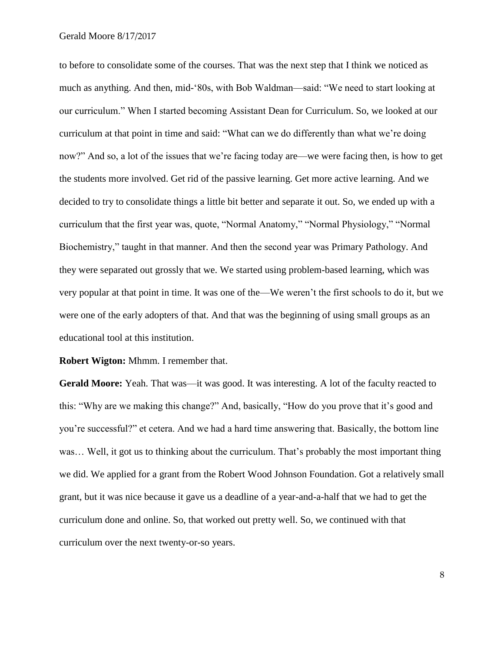to before to consolidate some of the courses. That was the next step that I think we noticed as much as anything. And then, mid-'80s, with Bob Waldman—said: "We need to start looking at our curriculum." When I started becoming Assistant Dean for Curriculum. So, we looked at our curriculum at that point in time and said: "What can we do differently than what we're doing now?" And so, a lot of the issues that we're facing today are—we were facing then, is how to get the students more involved. Get rid of the passive learning. Get more active learning. And we decided to try to consolidate things a little bit better and separate it out. So, we ended up with a curriculum that the first year was, quote, "Normal Anatomy," "Normal Physiology," "Normal Biochemistry," taught in that manner. And then the second year was Primary Pathology. And they were separated out grossly that we. We started using problem-based learning, which was very popular at that point in time. It was one of the—We weren't the first schools to do it, but we were one of the early adopters of that. And that was the beginning of using small groups as an educational tool at this institution.

**Robert Wigton:** Mhmm. I remember that.

Gerald Moore: Yeah. That was—it was good. It was interesting. A lot of the faculty reacted to this: "Why are we making this change?" And, basically, "How do you prove that it's good and you're successful?" et cetera. And we had a hard time answering that. Basically, the bottom line was… Well, it got us to thinking about the curriculum. That's probably the most important thing we did. We applied for a grant from the Robert Wood Johnson Foundation. Got a relatively small grant, but it was nice because it gave us a deadline of a year-and-a-half that we had to get the curriculum done and online. So, that worked out pretty well. So, we continued with that curriculum over the next twenty-or-so years.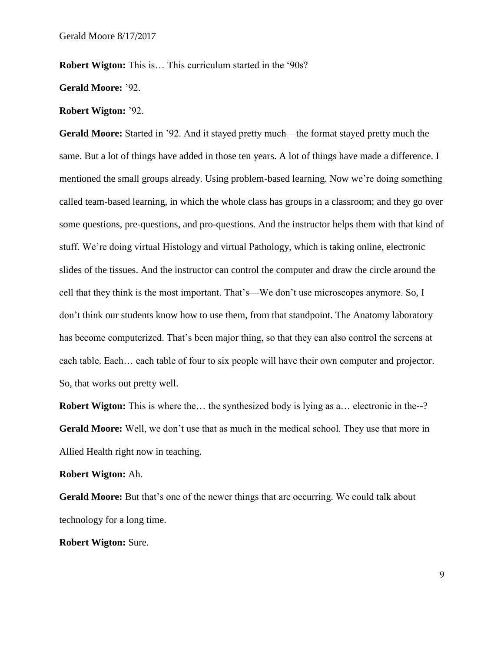**Robert Wigton:** This is... This curriculum started in the '90s?

**Gerald Moore:** '92.

#### **Robert Wigton:** '92.

**Gerald Moore:** Started in '92. And it stayed pretty much—the format stayed pretty much the same. But a lot of things have added in those ten years. A lot of things have made a difference. I mentioned the small groups already. Using problem-based learning. Now we're doing something called team-based learning, in which the whole class has groups in a classroom; and they go over some questions, pre-questions, and pro-questions. And the instructor helps them with that kind of stuff. We're doing virtual Histology and virtual Pathology, which is taking online, electronic slides of the tissues. And the instructor can control the computer and draw the circle around the cell that they think is the most important. That's—We don't use microscopes anymore. So, I don't think our students know how to use them, from that standpoint. The Anatomy laboratory has become computerized. That's been major thing, so that they can also control the screens at each table. Each… each table of four to six people will have their own computer and projector. So, that works out pretty well.

**Robert Wigton:** This is where the... the synthesized body is lying as a... electronic in the--? **Gerald Moore:** Well, we don't use that as much in the medical school. They use that more in Allied Health right now in teaching.

#### **Robert Wigton:** Ah.

Gerald Moore: But that's one of the newer things that are occurring. We could talk about technology for a long time.

**Robert Wigton:** Sure.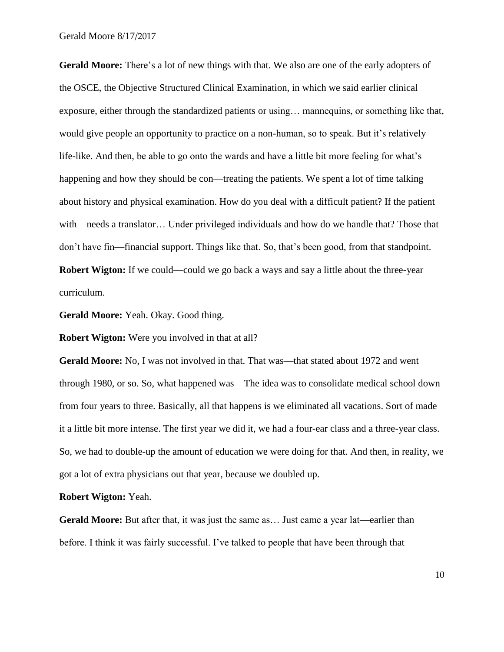**Gerald Moore:** There's a lot of new things with that. We also are one of the early adopters of the OSCE, the Objective Structured Clinical Examination, in which we said earlier clinical exposure, either through the standardized patients or using… mannequins, or something like that, would give people an opportunity to practice on a non-human, so to speak. But it's relatively life-like. And then, be able to go onto the wards and have a little bit more feeling for what's happening and how they should be con—treating the patients. We spent a lot of time talking about history and physical examination. How do you deal with a difficult patient? If the patient with—needs a translator… Under privileged individuals and how do we handle that? Those that don't have fin—financial support. Things like that. So, that's been good, from that standpoint. **Robert Wigton:** If we could—could we go back a ways and say a little about the three-year curriculum.

**Gerald Moore:** Yeah. Okay. Good thing.

**Robert Wigton:** Were you involved in that at all?

**Gerald Moore:** No, I was not involved in that. That was—that stated about 1972 and went through 1980, or so. So, what happened was—The idea was to consolidate medical school down from four years to three. Basically, all that happens is we eliminated all vacations. Sort of made it a little bit more intense. The first year we did it, we had a four-ear class and a three-year class. So, we had to double-up the amount of education we were doing for that. And then, in reality, we got a lot of extra physicians out that year, because we doubled up.

**Robert Wigton:** Yeah.

Gerald Moore: But after that, it was just the same as... Just came a year lat—earlier than before. I think it was fairly successful. I've talked to people that have been through that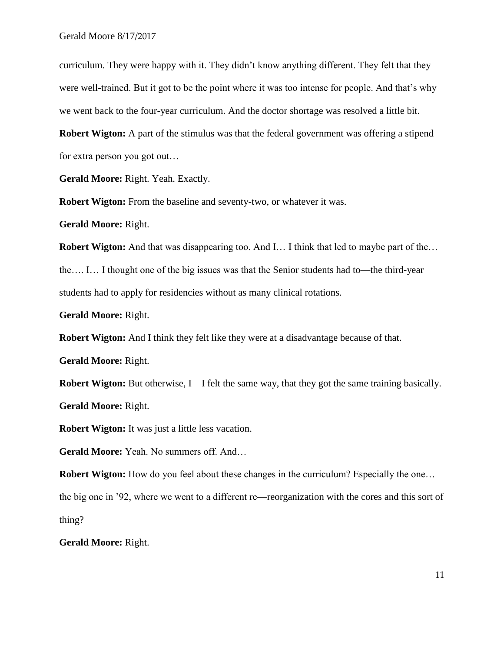curriculum. They were happy with it. They didn't know anything different. They felt that they were well-trained. But it got to be the point where it was too intense for people. And that's why we went back to the four-year curriculum. And the doctor shortage was resolved a little bit.

**Robert Wigton:** A part of the stimulus was that the federal government was offering a stipend for extra person you got out…

**Gerald Moore:** Right. Yeah. Exactly.

**Robert Wigton:** From the baseline and seventy-two, or whatever it was.

**Gerald Moore:** Right.

**Robert Wigton:** And that was disappearing too. And I… I think that led to maybe part of the…

the…. I… I thought one of the big issues was that the Senior students had to—the third-year students had to apply for residencies without as many clinical rotations.

**Gerald Moore:** Right.

**Robert Wigton:** And I think they felt like they were at a disadvantage because of that.

**Gerald Moore:** Right.

**Robert Wigton:** But otherwise, I—I felt the same way, that they got the same training basically.

**Gerald Moore:** Right.

**Robert Wigton:** It was just a little less vacation.

**Gerald Moore:** Yeah. No summers off. And…

**Robert Wigton:** How do you feel about these changes in the curriculum? Especially the one...

the big one in '92, where we went to a different re—reorganization with the cores and this sort of thing?

**Gerald Moore:** Right.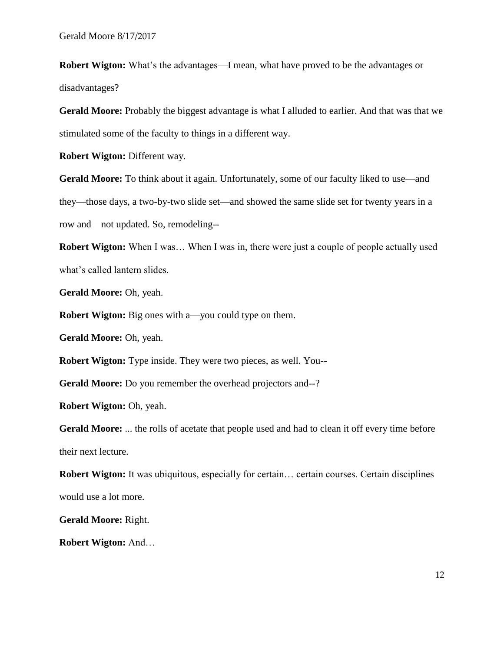**Robert Wigton:** What's the advantages—I mean, what have proved to be the advantages or disadvantages?

**Gerald Moore:** Probably the biggest advantage is what I alluded to earlier. And that was that we stimulated some of the faculty to things in a different way.

**Robert Wigton: Different way.** 

Gerald Moore: To think about it again. Unfortunately, some of our faculty liked to use—and they—those days, a two-by-two slide set—and showed the same slide set for twenty years in a row and—not updated. So, remodeling--

**Robert Wigton:** When I was... When I was in, there were just a couple of people actually used what's called lantern slides.

**Gerald Moore:** Oh, yeah.

**Robert Wigton:** Big ones with a—you could type on them.

**Gerald Moore:** Oh, yeah.

**Robert Wigton:** Type inside. They were two pieces, as well. You--

Gerald Moore: Do you remember the overhead projectors and--?

**Robert Wigton:** Oh, yeah.

Gerald Moore: ... the rolls of acetate that people used and had to clean it off every time before their next lecture.

**Robert Wigton:** It was ubiquitous, especially for certain... certain courses. Certain disciplines would use a lot more.

**Gerald Moore:** Right.

**Robert Wigton:** And…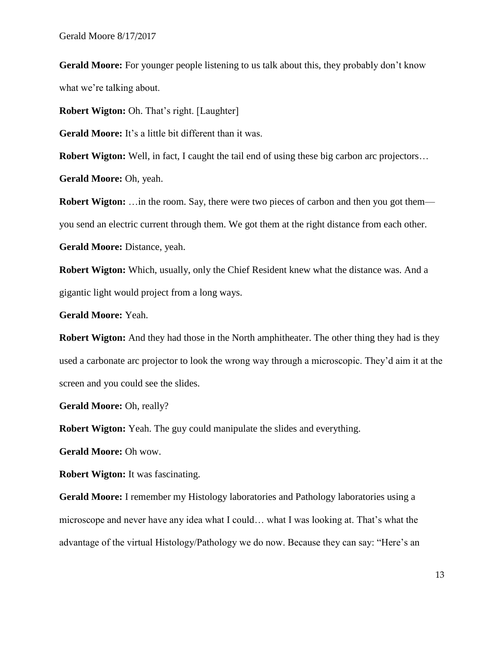**Gerald Moore:** For younger people listening to us talk about this, they probably don't know what we're talking about.

**Robert Wigton:** Oh. That's right. [Laughter]

Gerald Moore: It's a little bit different than it was.

**Robert Wigton:** Well, in fact, I caught the tail end of using these big carbon arc projectors...

**Gerald Moore:** Oh, yeah.

**Robert Wigton:** ... in the room. Say, there were two pieces of carbon and then you got them you send an electric current through them. We got them at the right distance from each other.

Gerald Moore: Distance, yeah.

**Robert Wigton:** Which, usually, only the Chief Resident knew what the distance was. And a gigantic light would project from a long ways.

**Gerald Moore:** Yeah.

**Robert Wigton:** And they had those in the North amphitheater. The other thing they had is they used a carbonate arc projector to look the wrong way through a microscopic. They'd aim it at the screen and you could see the slides.

Gerald Moore: Oh, really?

**Robert Wigton:** Yeah. The guy could manipulate the slides and everything.

**Gerald Moore:** Oh wow.

**Robert Wigton:** It was fascinating.

**Gerald Moore:** I remember my Histology laboratories and Pathology laboratories using a microscope and never have any idea what I could… what I was looking at. That's what the advantage of the virtual Histology/Pathology we do now. Because they can say: "Here's an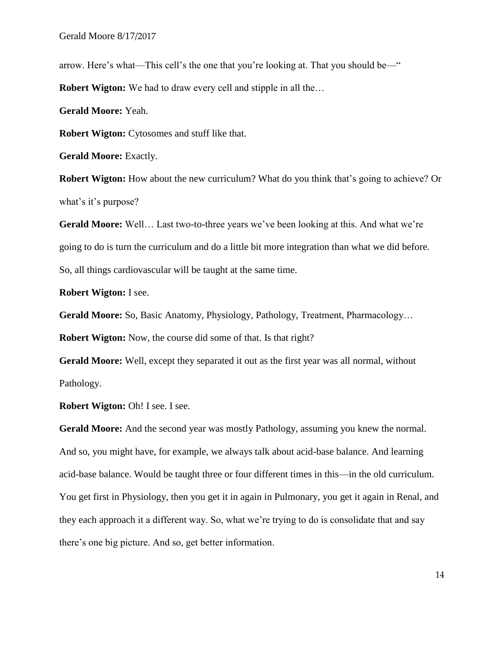arrow. Here's what—This cell's the one that you're looking at. That you should be—"

**Robert Wigton:** We had to draw every cell and stipple in all the…

**Gerald Moore:** Yeah.

**Robert Wigton:** Cytosomes and stuff like that.

**Gerald Moore:** Exactly.

**Robert Wigton:** How about the new curriculum? What do you think that's going to achieve? Or what's it's purpose?

**Gerald Moore:** Well… Last two-to-three years we've been looking at this. And what we're going to do is turn the curriculum and do a little bit more integration than what we did before. So, all things cardiovascular will be taught at the same time.

**Robert Wigton:** I see.

**Gerald Moore:** So, Basic Anatomy, Physiology, Pathology, Treatment, Pharmacology…

**Robert Wigton:** Now, the course did some of that. Is that right?

**Gerald Moore:** Well, except they separated it out as the first year was all normal, without Pathology.

**Robert Wigton: Oh! I see. I see.** 

Gerald Moore: And the second year was mostly Pathology, assuming you knew the normal. And so, you might have, for example, we always talk about acid-base balance. And learning acid-base balance. Would be taught three or four different times in this—in the old curriculum. You get first in Physiology, then you get it in again in Pulmonary, you get it again in Renal, and they each approach it a different way. So, what we're trying to do is consolidate that and say there's one big picture. And so, get better information.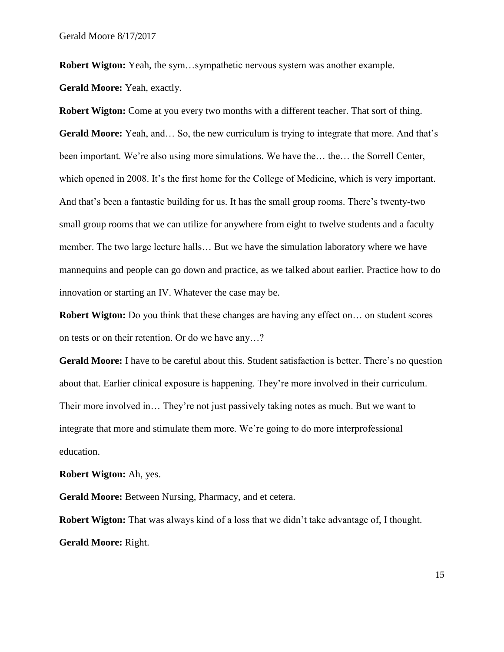**Robert Wigton:** Yeah, the sym...sympathetic nervous system was another example. **Gerald Moore:** Yeah, exactly.

**Robert Wigton:** Come at you every two months with a different teacher. That sort of thing. **Gerald Moore:** Yeah, and… So, the new curriculum is trying to integrate that more. And that's been important. We're also using more simulations. We have the… the… the Sorrell Center, which opened in 2008. It's the first home for the College of Medicine, which is very important. And that's been a fantastic building for us. It has the small group rooms. There's twenty-two small group rooms that we can utilize for anywhere from eight to twelve students and a faculty member. The two large lecture halls… But we have the simulation laboratory where we have mannequins and people can go down and practice, as we talked about earlier. Practice how to do innovation or starting an IV. Whatever the case may be.

**Robert Wigton:** Do you think that these changes are having any effect on... on student scores on tests or on their retention. Or do we have any…?

**Gerald Moore:** I have to be careful about this. Student satisfaction is better. There's no question about that. Earlier clinical exposure is happening. They're more involved in their curriculum. Their more involved in… They're not just passively taking notes as much. But we want to integrate that more and stimulate them more. We're going to do more interprofessional education.

**Robert Wigton:** Ah, yes.

**Gerald Moore:** Between Nursing, Pharmacy, and et cetera.

**Robert Wigton:** That was always kind of a loss that we didn't take advantage of, I thought. **Gerald Moore:** Right.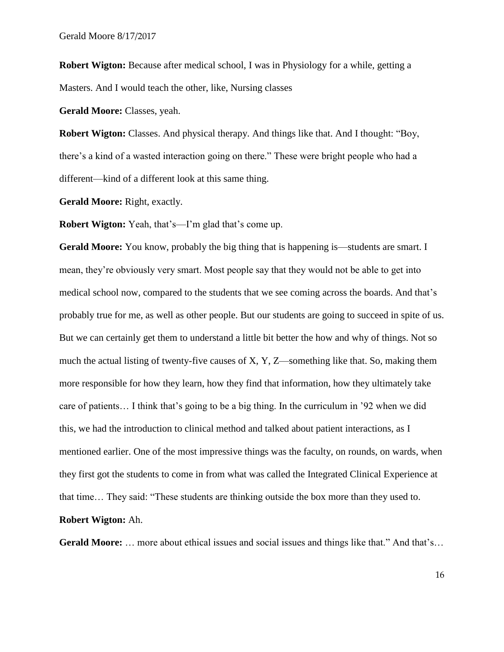**Robert Wigton:** Because after medical school, I was in Physiology for a while, getting a Masters. And I would teach the other, like, Nursing classes

**Gerald Moore:** Classes, yeah.

**Robert Wigton:** Classes. And physical therapy. And things like that. And I thought: "Boy, there's a kind of a wasted interaction going on there." These were bright people who had a different—kind of a different look at this same thing.

**Gerald Moore:** Right, exactly.

**Robert Wigton:** Yeah, that's—I'm glad that's come up.

Gerald Moore: You know, probably the big thing that is happening is—students are smart. I mean, they're obviously very smart. Most people say that they would not be able to get into medical school now, compared to the students that we see coming across the boards. And that's probably true for me, as well as other people. But our students are going to succeed in spite of us. But we can certainly get them to understand a little bit better the how and why of things. Not so much the actual listing of twenty-five causes of X, Y, Z—something like that. So, making them more responsible for how they learn, how they find that information, how they ultimately take care of patients… I think that's going to be a big thing. In the curriculum in '92 when we did this, we had the introduction to clinical method and talked about patient interactions, as I mentioned earlier. One of the most impressive things was the faculty, on rounds, on wards, when they first got the students to come in from what was called the Integrated Clinical Experience at that time… They said: "These students are thinking outside the box more than they used to. **Robert Wigton:** Ah.

**Gerald Moore:** … more about ethical issues and social issues and things like that." And that's…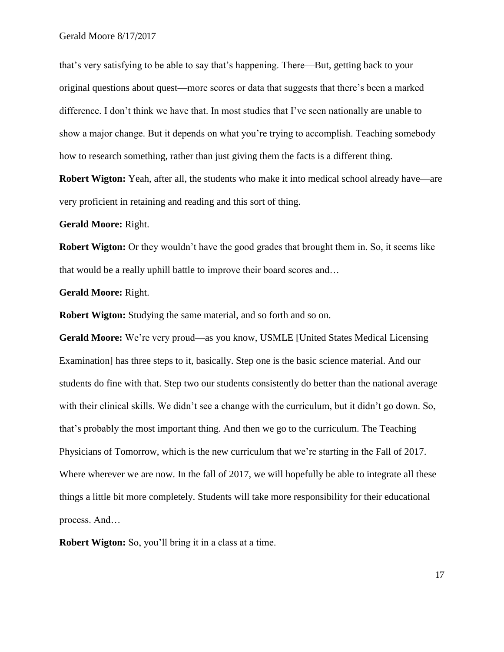that's very satisfying to be able to say that's happening. There—But, getting back to your original questions about quest—more scores or data that suggests that there's been a marked difference. I don't think we have that. In most studies that I've seen nationally are unable to show a major change. But it depends on what you're trying to accomplish. Teaching somebody how to research something, rather than just giving them the facts is a different thing.

**Robert Wigton:** Yeah, after all, the students who make it into medical school already have—are very proficient in retaining and reading and this sort of thing.

**Gerald Moore:** Right.

**Robert Wigton:** Or they wouldn't have the good grades that brought them in. So, it seems like that would be a really uphill battle to improve their board scores and…

**Gerald Moore:** Right.

**Robert Wigton:** Studying the same material, and so forth and so on.

**Gerald Moore:** We're very proud—as you know, USMLE [United States Medical Licensing Examination] has three steps to it, basically. Step one is the basic science material. And our students do fine with that. Step two our students consistently do better than the national average with their clinical skills. We didn't see a change with the curriculum, but it didn't go down. So, that's probably the most important thing. And then we go to the curriculum. The Teaching Physicians of Tomorrow, which is the new curriculum that we're starting in the Fall of 2017. Where wherever we are now. In the fall of 2017, we will hopefully be able to integrate all these things a little bit more completely. Students will take more responsibility for their educational process. And…

**Robert Wigton:** So, you'll bring it in a class at a time.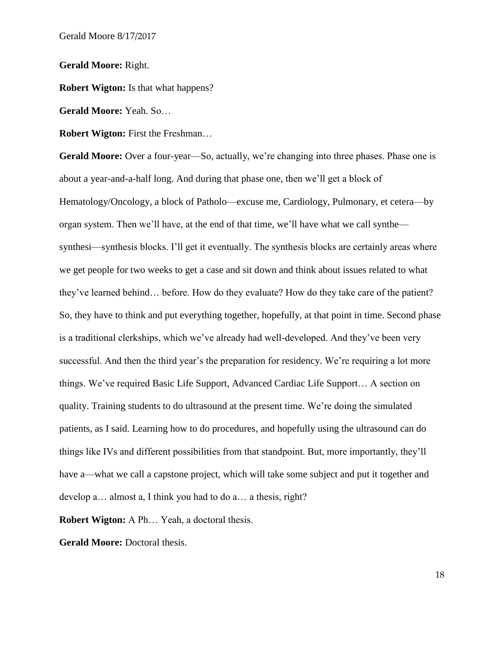**Gerald Moore:** Right.

**Robert Wigton:** Is that what happens?

**Gerald Moore:** Yeah. So…

**Robert Wigton:** First the Freshman…

Gerald Moore: Over a four-year—So, actually, we're changing into three phases. Phase one is about a year-and-a-half long. And during that phase one, then we'll get a block of Hematology/Oncology, a block of Patholo—excuse me, Cardiology, Pulmonary, et cetera—by organ system. Then we'll have, at the end of that time, we'll have what we call synthe synthesi—synthesis blocks. I'll get it eventually. The synthesis blocks are certainly areas where we get people for two weeks to get a case and sit down and think about issues related to what they've learned behind… before. How do they evaluate? How do they take care of the patient? So, they have to think and put everything together, hopefully, at that point in time. Second phase is a traditional clerkships, which we've already had well-developed. And they've been very successful. And then the third year's the preparation for residency. We're requiring a lot more things. We've required Basic Life Support, Advanced Cardiac Life Support… A section on quality. Training students to do ultrasound at the present time. We're doing the simulated patients, as I said. Learning how to do procedures, and hopefully using the ultrasound can do things like IVs and different possibilities from that standpoint. But, more importantly, they'll have a—what we call a capstone project, which will take some subject and put it together and develop a… almost a, I think you had to do a… a thesis, right?

**Robert Wigton:** A Ph… Yeah, a doctoral thesis.

Gerald Moore: Doctoral thesis.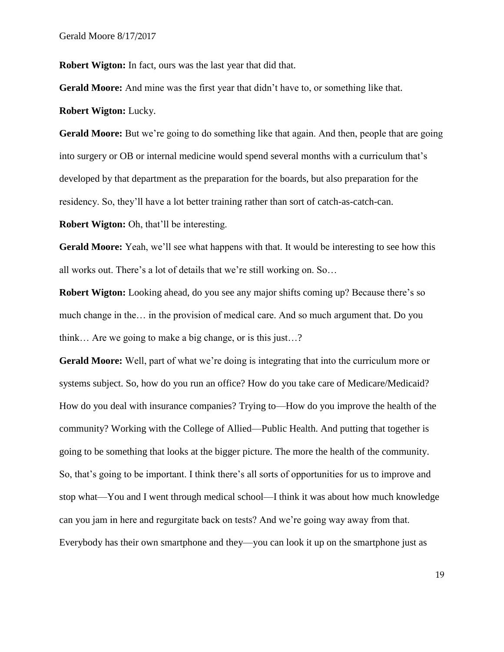**Robert Wigton:** In fact, ours was the last year that did that.

**Gerald Moore:** And mine was the first year that didn't have to, or something like that.

**Robert Wigton:** Lucky.

**Gerald Moore:** But we're going to do something like that again. And then, people that are going into surgery or OB or internal medicine would spend several months with a curriculum that's developed by that department as the preparation for the boards, but also preparation for the residency. So, they'll have a lot better training rather than sort of catch-as-catch-can.

**Robert Wigton:** Oh, that'll be interesting.

**Gerald Moore:** Yeah, we'll see what happens with that. It would be interesting to see how this all works out. There's a lot of details that we're still working on. So…

**Robert Wigton:** Looking ahead, do you see any major shifts coming up? Because there's so much change in the… in the provision of medical care. And so much argument that. Do you think… Are we going to make a big change, or is this just…?

**Gerald Moore:** Well, part of what we're doing is integrating that into the curriculum more or systems subject. So, how do you run an office? How do you take care of Medicare/Medicaid? How do you deal with insurance companies? Trying to—How do you improve the health of the community? Working with the College of Allied—Public Health. And putting that together is going to be something that looks at the bigger picture. The more the health of the community. So, that's going to be important. I think there's all sorts of opportunities for us to improve and stop what—You and I went through medical school—I think it was about how much knowledge can you jam in here and regurgitate back on tests? And we're going way away from that. Everybody has their own smartphone and they—you can look it up on the smartphone just as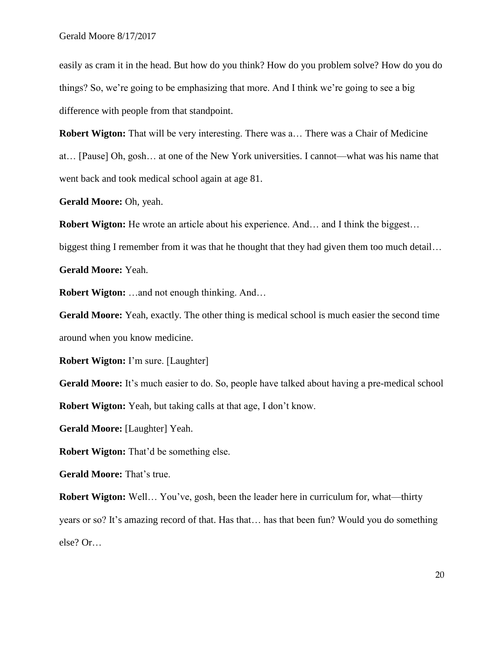easily as cram it in the head. But how do you think? How do you problem solve? How do you do things? So, we're going to be emphasizing that more. And I think we're going to see a big difference with people from that standpoint.

**Robert Wigton:** That will be very interesting. There was a... There was a Chair of Medicine at… [Pause] Oh, gosh… at one of the New York universities. I cannot—what was his name that went back and took medical school again at age 81.

**Gerald Moore:** Oh, yeah.

**Robert Wigton:** He wrote an article about his experience. And... and I think the biggest...

biggest thing I remember from it was that he thought that they had given them too much detail...

**Gerald Moore:** Yeah.

**Robert Wigton:** …and not enough thinking. And…

**Gerald Moore:** Yeah, exactly. The other thing is medical school is much easier the second time around when you know medicine.

**Robert Wigton:** I'm sure. [Laughter]

**Gerald Moore:** It's much easier to do. So, people have talked about having a pre-medical school **Robert Wigton:** Yeah, but taking calls at that age, I don't know.

**Gerald Moore:** [Laughter] Yeah.

**Robert Wigton:** That'd be something else.

**Gerald Moore:** That's true.

**Robert Wigton:** Well... You've, gosh, been the leader here in curriculum for, what—thirty years or so? It's amazing record of that. Has that… has that been fun? Would you do something else? Or…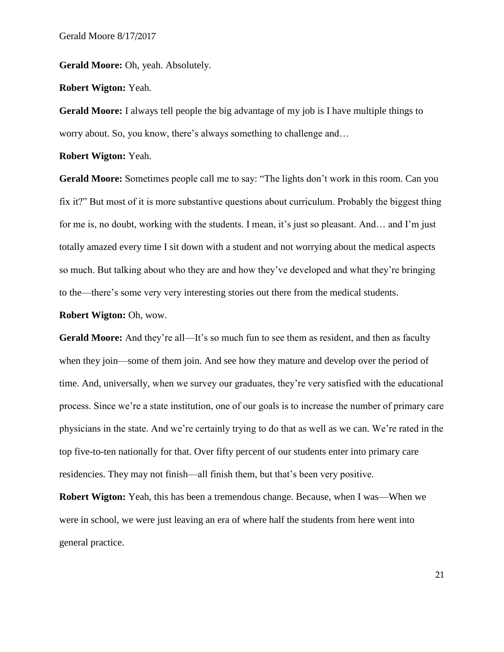Gerald Moore: Oh, yeah. Absolutely.

**Robert Wigton:** Yeah.

**Gerald Moore:** I always tell people the big advantage of my job is I have multiple things to worry about. So, you know, there's always something to challenge and…

**Robert Wigton:** Yeah.

**Gerald Moore:** Sometimes people call me to say: "The lights don't work in this room. Can you fix it?" But most of it is more substantive questions about curriculum. Probably the biggest thing for me is, no doubt, working with the students. I mean, it's just so pleasant. And… and I'm just totally amazed every time I sit down with a student and not worrying about the medical aspects so much. But talking about who they are and how they've developed and what they're bringing to the—there's some very very interesting stories out there from the medical students.

**Robert Wigton:** Oh, wow.

Gerald Moore: And they're all—It's so much fun to see them as resident, and then as faculty when they join—some of them join. And see how they mature and develop over the period of time. And, universally, when we survey our graduates, they're very satisfied with the educational process. Since we're a state institution, one of our goals is to increase the number of primary care physicians in the state. And we're certainly trying to do that as well as we can. We're rated in the top five-to-ten nationally for that. Over fifty percent of our students enter into primary care residencies. They may not finish—all finish them, but that's been very positive.

**Robert Wigton:** Yeah, this has been a tremendous change. Because, when I was—When we were in school, we were just leaving an era of where half the students from here went into general practice.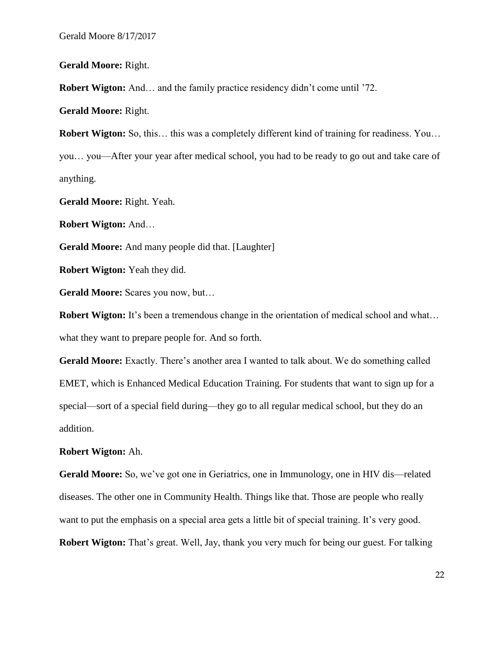**Gerald Moore:** Right.

**Robert Wigton:** And... and the family practice residency didn't come until '72.

**Gerald Moore:** Right.

**Robert Wigton:** So, this… this was a completely different kind of training for readiness. You… you… you—After your year after medical school, you had to be ready to go out and take care of anything.

**Gerald Moore:** Right. Yeah.

**Robert Wigton:** And…

**Gerald Moore:** And many people did that. [Laughter]

**Robert Wigton:** Yeah they did.

Gerald Moore: Scares you now, but...

**Robert Wigton:** It's been a tremendous change in the orientation of medical school and what... what they want to prepare people for. And so forth.

Gerald Moore: Exactly. There's another area I wanted to talk about. We do something called EMET, which is Enhanced Medical Education Training. For students that want to sign up for a special—sort of a special field during—they go to all regular medical school, but they do an addition.

### **Robert Wigton:** Ah.

**Gerald Moore:** So, we've got one in Geriatrics, one in Immunology, one in HIV dis—related diseases. The other one in Community Health. Things like that. Those are people who really want to put the emphasis on a special area gets a little bit of special training. It's very good. **Robert Wigton:** That's great. Well, Jay, thank you very much for being our guest. For talking